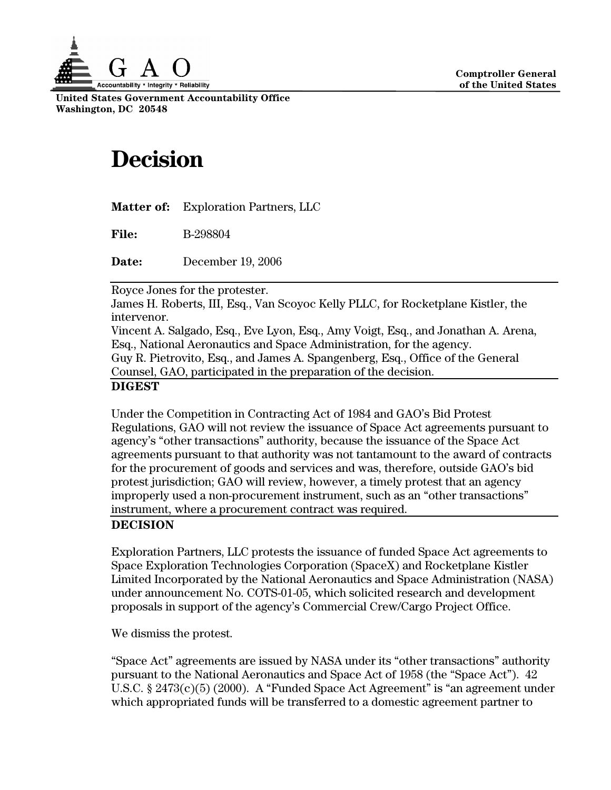

**United States Government Accountability Office Washington, DC 20548** 

## **Decision**

| Matter of: |  | <b>Exploration Partners, LLC</b> |
|------------|--|----------------------------------|
|------------|--|----------------------------------|

**File:** B-298804

**Date:** December 19, 2006

Royce Jones for the protester.

James H. Roberts, III, Esq., Van Scoyoc Kelly PLLC, for Rocketplane Kistler, the intervenor.

Vincent A. Salgado, Esq., Eve Lyon, Esq., Amy Voigt, Esq., and Jonathan A. Arena, Esq., National Aeronautics and Space Administration, for the agency. Guy R. Pietrovito, Esq., and James A. Spangenberg, Esq., Office of the General Counsel, GAO, participated in the preparation of the decision.

## **DIGEST**

Under the Competition in Contracting Act of 1984 and GAO's Bid Protest Regulations, GAO will not review the issuance of Space Act agreements pursuant to agency's "other transactions" authority, because the issuance of the Space Act agreements pursuant to that authority was not tantamount to the award of contracts for the procurement of goods and services and was, therefore, outside GAO's bid protest jurisdiction; GAO will review, however, a timely protest that an agency improperly used a non-procurement instrument, such as an "other transactions" instrument, where a procurement contract was required.

## **DECISION**

Exploration Partners, LLC protests the issuance of funded Space Act agreements to Space Exploration Technologies Corporation (SpaceX) and Rocketplane Kistler Limited Incorporated by the National Aeronautics and Space Administration (NASA) under announcement No. COTS-01-05, which solicited research and development proposals in support of the agency's Commercial Crew/Cargo Project Office.

We dismiss the protest.

"Space Act" agreements are issued by NASA under its "other transactions" authority pursuant to the National Aeronautics and Space Act of 1958 (the "Space Act"). 42 U.S.C. § 2473(c)(5) (2000). A "Funded Space Act Agreement" is "an agreement under which appropriated funds will be transferred to a domestic agreement partner to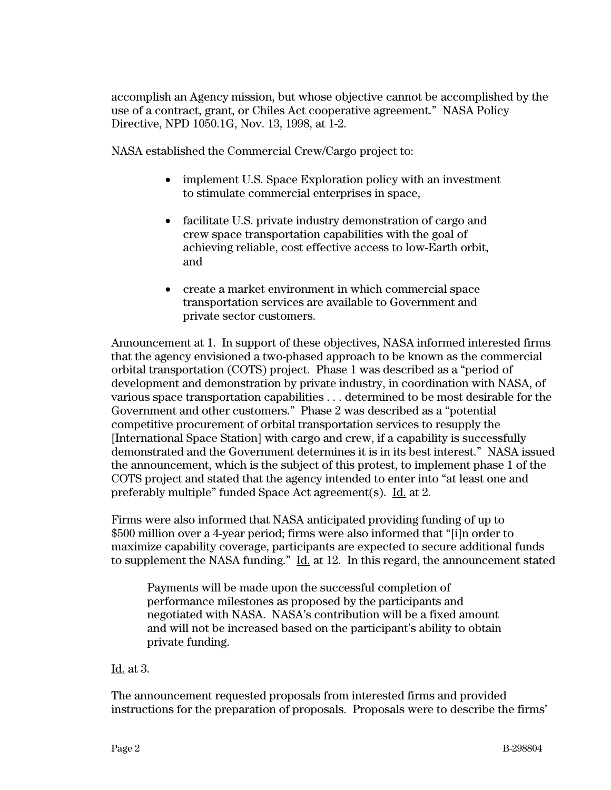accomplish an Agency mission, but whose objective cannot be accomplished by the use of a contract, grant, or Chiles Act cooperative agreement." NASA Policy Directive, NPD 1050.1G, Nov. 13, 1998, at 1-2.

NASA established the Commercial Crew/Cargo project to:

- implement U.S. Space Exploration policy with an investment to stimulate commercial enterprises in space,
- facilitate U.S. private industry demonstration of cargo and crew space transportation capabilities with the goal of achieving reliable, cost effective access to low-Earth orbit, and
- create a market environment in which commercial space transportation services are available to Government and private sector customers.

Announcement at 1. In support of these objectives, NASA informed interested firms that the agency envisioned a two-phased approach to be known as the commercial orbital transportation (COTS) project. Phase 1 was described as a "period of development and demonstration by private industry, in coordination with NASA, of various space transportation capabilities . . . determined to be most desirable for the Government and other customers." Phase 2 was described as a "potential competitive procurement of orbital transportation services to resupply the [International Space Station] with cargo and crew, if a capability is successfully demonstrated and the Government determines it is in its best interest." NASA issued the announcement, which is the subject of this protest, to implement phase 1 of the COTS project and stated that the agency intended to enter into "at least one and preferably multiple" funded Space Act agreement(s). Id. at 2.

Firms were also informed that NASA anticipated providing funding of up to \$500 million over a 4-year period; firms were also informed that "[i]n order to maximize capability coverage, participants are expected to secure additional funds to supplement the NASA funding." Id. at 12. In this regard, the announcement stated

Payments will be made upon the successful completion of performance milestones as proposed by the participants and negotiated with NASA. NASA's contribution will be a fixed amount and will not be increased based on the participant's ability to obtain private funding.

## Id. at 3.

The announcement requested proposals from interested firms and provided instructions for the preparation of proposals. Proposals were to describe the firms'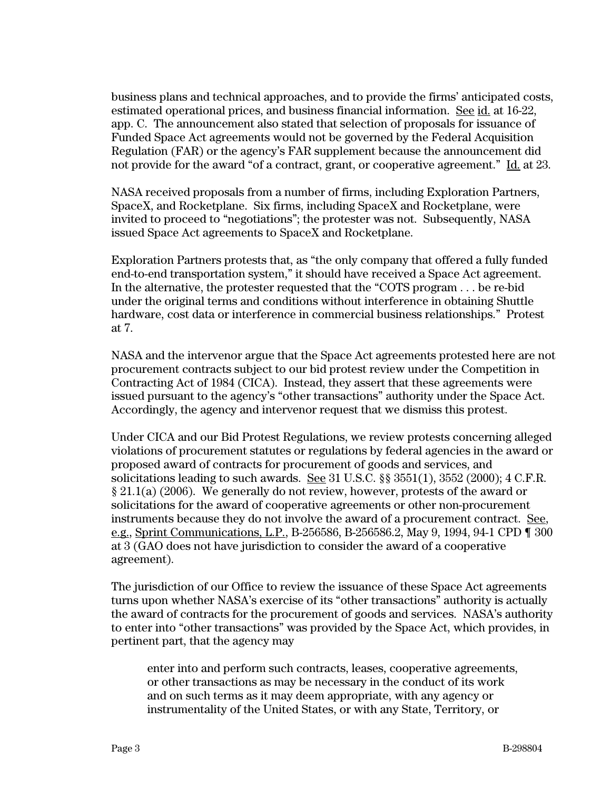business plans and technical approaches, and to provide the firms' anticipated costs, estimated operational prices, and business financial information. See id. at 16-22, app. C. The announcement also stated that selection of proposals for issuance of Funded Space Act agreements would not be governed by the Federal Acquisition Regulation (FAR) or the agency's FAR supplement because the announcement did not provide for the award "of a contract, grant, or cooperative agreement." Id. at 23.

NASA received proposals from a number of firms, including Exploration Partners, SpaceX, and Rocketplane. Six firms, including SpaceX and Rocketplane, were invited to proceed to "negotiations"; the protester was not. Subsequently, NASA issued Space Act agreements to SpaceX and Rocketplane.

Exploration Partners protests that, as "the only company that offered a fully funded end-to-end transportation system," it should have received a Space Act agreement. In the alternative, the protester requested that the "COTS program . . . be re-bid under the original terms and conditions without interference in obtaining Shuttle hardware, cost data or interference in commercial business relationships." Protest at 7.

NASA and the intervenor argue that the Space Act agreements protested here are not procurement contracts subject to our bid protest review under the Competition in Contracting Act of 1984 (CICA). Instead, they assert that these agreements were issued pursuant to the agency's "other transactions" authority under the Space Act. Accordingly, the agency and intervenor request that we dismiss this protest.

Under CICA and our Bid Protest Regulations, we review protests concerning alleged violations of procurement statutes or regulations by federal agencies in the award or proposed award of contracts for procurement of goods and services, and solicitations leading to such awards. See 31 U.S.C. §§ 3551(1), 3552 (2000); 4 C.F.R. § 21.1(a) (2006). We generally do not review, however, protests of the award or solicitations for the award of cooperative agreements or other non-procurement instruments because they do not involve the award of a procurement contract. See, e.g., Sprint Communications, L.P., B-256586, B-256586.2, May 9, 1994, 94-1 CPD ¶ 300 at 3 (GAO does not have jurisdiction to consider the award of a cooperative agreement).

The jurisdiction of our Office to review the issuance of these Space Act agreements turns upon whether NASA's exercise of its "other transactions" authority is actually the award of contracts for the procurement of goods and services. NASA's authority to enter into "other transactions" was provided by the Space Act, which provides, in pertinent part, that the agency may

enter into and perform such contracts, leases, cooperative agreements, or other transactions as may be necessary in the conduct of its work and on such terms as it may deem appropriate, with any agency or instrumentality of the United States, or with any State, Territory, or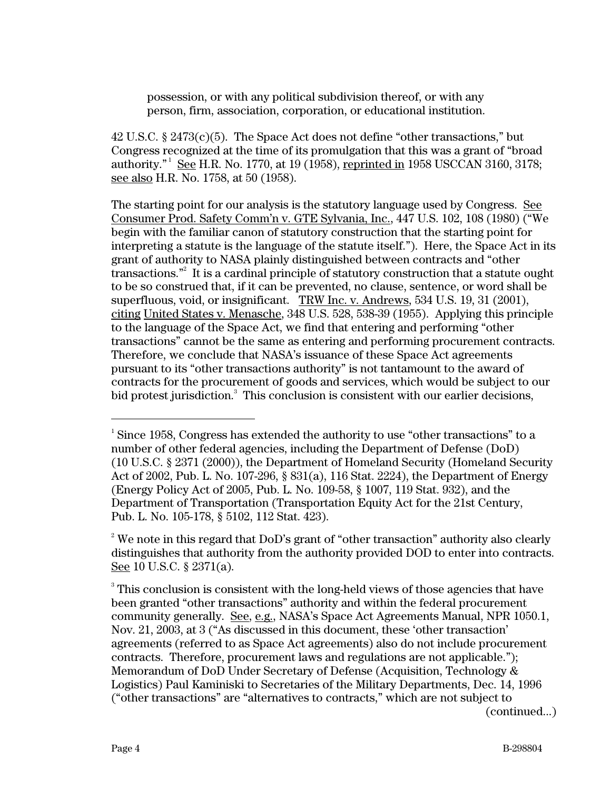possession, or with any political subdivision thereof, or with any person, firm, association, corporation, or educational institution.

 $42$  U.S.C. §  $2473(c)(5)$ . The Space Act does not define "other transactions," but Congress recognized at the time of its promulgation that this was a grant of "broad authority." See H.R. No. 1770, at 19 (1958), reprinted in 1958 USCCAN 3160, 3178; see also H.R. No. 1758, at 50 (1958).

The starting point for our analysis is the statutory language used by Congress. See Consumer Prod. Safety Comm'n v. GTE Sylvania, Inc., 447 U.S. 102, 108 (1980) ("We begin with the familiar canon of statutory construction that the starting point for interpreting a statute is the language of the statute itself."). Here, the Space Act in its grant of authority to NASA plainly distinguished between contracts and "other transactions."<sup>2</sup> It is a cardinal principle of statutory construction that a statute ought to be so construed that, if it can be prevented, no clause, sentence, or word shall be superfluous, void, or insignificant. TRW Inc. v. Andrews, 534 U.S. 19, 31 (2001), citing United States v. Menasche, 348 U.S. 528, 538-39 (1955). Applying this principle to the language of the Space Act, we find that entering and performing "other transactions" cannot be the same as entering and performing procurement contracts. Therefore, we conclude that NASA's issuance of these Space Act agreements pursuant to its "other transactions authority" is not tantamount to the award of contracts for the procurement of goods and services, which would be subject to our bid protest jurisdiction.<sup>3</sup> This conclusion is consistent with our earlier decisions,

(continued...)

 $\frac{1}{1}$  $^1$  Since 1958, Congress has extended the authority to use "other transactions" to a number of other federal agencies, including the Department of Defense (DoD) (10 U.S.C. § 2371 (2000)), the Department of Homeland Security (Homeland Security Act of 2002, Pub. L. No. 107-296, § 831(a), 116 Stat. 2224), the Department of Energy (Energy Policy Act of 2005, Pub. L. No. 109-58, § 1007, 119 Stat. 932), and the Department of Transportation (Transportation Equity Act for the 21st Century, Pub. L. No. 105-178, § 5102, 112 Stat. 423).

 $2^2$  We note in this regard that DoD's grant of "other transaction" authority also clearly distinguishes that authority from the authority provided DOD to enter into contracts. See 10 U.S.C. § 2371(a).

 $3$  This conclusion is consistent with the long-held views of those agencies that have been granted "other transactions" authority and within the federal procurement community generally. See, e.g., NASA's Space Act Agreements Manual, NPR 1050.1, Nov. 21, 2003, at 3 ("As discussed in this document, these 'other transaction' agreements (referred to as Space Act agreements) also do not include procurement contracts. Therefore, procurement laws and regulations are not applicable."); Memorandum of DoD Under Secretary of Defense (Acquisition, Technology & Logistics) Paul Kaminiski to Secretaries of the Military Departments, Dec. 14, 1996 ("other transactions" are "alternatives to contracts," which are not subject to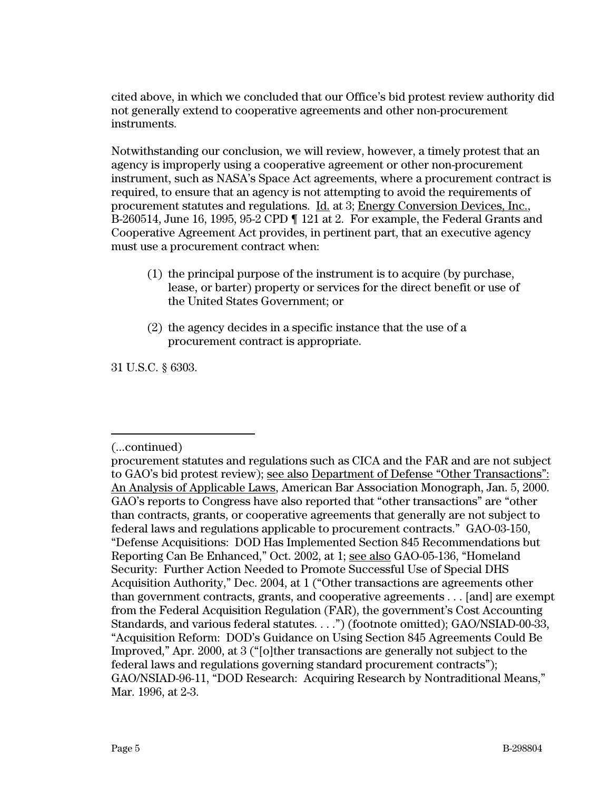cited above, in which we concluded that our Office's bid protest review authority did not generally extend to cooperative agreements and other non-procurement instruments.

Notwithstanding our conclusion, we will review, however, a timely protest that an agency is improperly using a cooperative agreement or other non-procurement instrument, such as NASA's Space Act agreements, where a procurement contract is required, to ensure that an agency is not attempting to avoid the requirements of procurement statutes and regulations. Id. at 3; Energy Conversion Devices, Inc., B-260514, June 16, 1995, 95-2 CPD ¶ 121 at 2. For example, the Federal Grants and Cooperative Agreement Act provides, in pertinent part, that an executive agency must use a procurement contract when:

- (1) the principal purpose of the instrument is to acquire (by purchase, lease, or barter) property or services for the direct benefit or use of the United States Government; or
- (2) the agency decides in a specific instance that the use of a procurement contract is appropriate.

31 U.S.C. § 6303.

<sup>-</sup>(...continued)

procurement statutes and regulations such as CICA and the FAR and are not subject to GAO's bid protest review); see also Department of Defense "Other Transactions": An Analysis of Applicable Laws, American Bar Association Monograph, Jan. 5, 2000. GAO's reports to Congress have also reported that "other transactions" are "other than contracts, grants, or cooperative agreements that generally are not subject to federal laws and regulations applicable to procurement contracts." GAO-03-150, "Defense Acquisitions: DOD Has Implemented Section 845 Recommendations but Reporting Can Be Enhanced," Oct. 2002, at 1; see also GAO-05-136, "Homeland Security: Further Action Needed to Promote Successful Use of Special DHS Acquisition Authority," Dec. 2004, at 1 ("Other transactions are agreements other than government contracts, grants, and cooperative agreements . . . [and] are exempt from the Federal Acquisition Regulation (FAR), the government's Cost Accounting Standards, and various federal statutes. . . .") (footnote omitted); GAO/NSIAD-00-33, "Acquisition Reform: DOD's Guidance on Using Section 845 Agreements Could Be Improved," Apr. 2000, at 3 ("[o]ther transactions are generally not subject to the federal laws and regulations governing standard procurement contracts"); GAO/NSIAD-96-11, "DOD Research: Acquiring Research by Nontraditional Means," Mar. 1996, at 2-3.